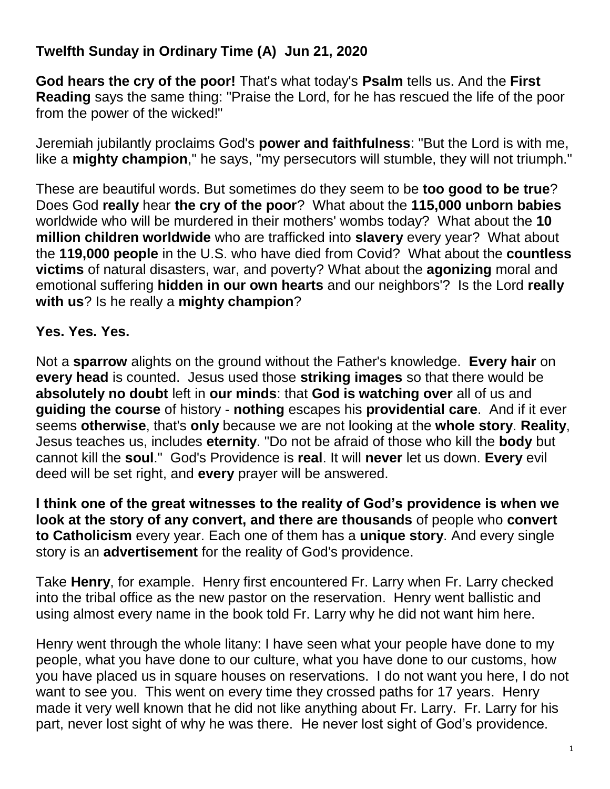## **Twelfth Sunday in Ordinary Time (A) Jun 21, 2020**

**God hears the cry of the poor!** That's what today's **Psalm** tells us. And the **First Reading** says the same thing: "Praise the Lord, for he has rescued the life of the poor from the power of the wicked!"

Jeremiah jubilantly proclaims God's **power and faithfulness**: "But the Lord is with me, like a **mighty champion**," he says, "my persecutors will stumble, they will not triumph."

These are beautiful words. But sometimes do they seem to be **too good to be true**? Does God **really** hear **the cry of the poor**? What about the **115,000 unborn babies** worldwide who will be murdered in their mothers' wombs today? What about the **10 million children worldwide** who are trafficked into **slavery** every year? What about the **119,000 people** in the U.S. who have died from Covid? What about the **countless victims** of natural disasters, war, and poverty? What about the **agonizing** moral and emotional suffering **hidden in our own hearts** and our neighbors'? Is the Lord **really with us**? Is he really a **mighty champion**?

## **Yes. Yes. Yes.**

Not a **sparrow** alights on the ground without the Father's knowledge. **Every hair** on **every head** is counted. Jesus used those **striking images** so that there would be **absolutely no doubt** left in **our minds**: that **God is watching over** all of us and **guiding the course** of history - **nothing** escapes his **providential care**. And if it ever seems **otherwise**, that's **only** because we are not looking at the **whole story**. **Reality**, Jesus teaches us, includes **eternity**. "Do not be afraid of those who kill the **body** but cannot kill the **soul**." God's Providence is **real**. It will **never** let us down. **Every** evil deed will be set right, and **every** prayer will be answered.

**I think one of the great witnesses to the reality of God's providence is when we look at the story of any convert, and there are thousands** of people who **convert to Catholicism** every year. Each one of them has a **unique story**. And every single story is an **advertisement** for the reality of God's providence.

Take **Henry**, for example. Henry first encountered Fr. Larry when Fr. Larry checked into the tribal office as the new pastor on the reservation. Henry went ballistic and using almost every name in the book told Fr. Larry why he did not want him here.

Henry went through the whole litany: I have seen what your people have done to my people, what you have done to our culture, what you have done to our customs, how you have placed us in square houses on reservations. I do not want you here, I do not want to see you. This went on every time they crossed paths for 17 years. Henry made it very well known that he did not like anything about Fr. Larry. Fr. Larry for his part, never lost sight of why he was there. He never lost sight of God's providence.